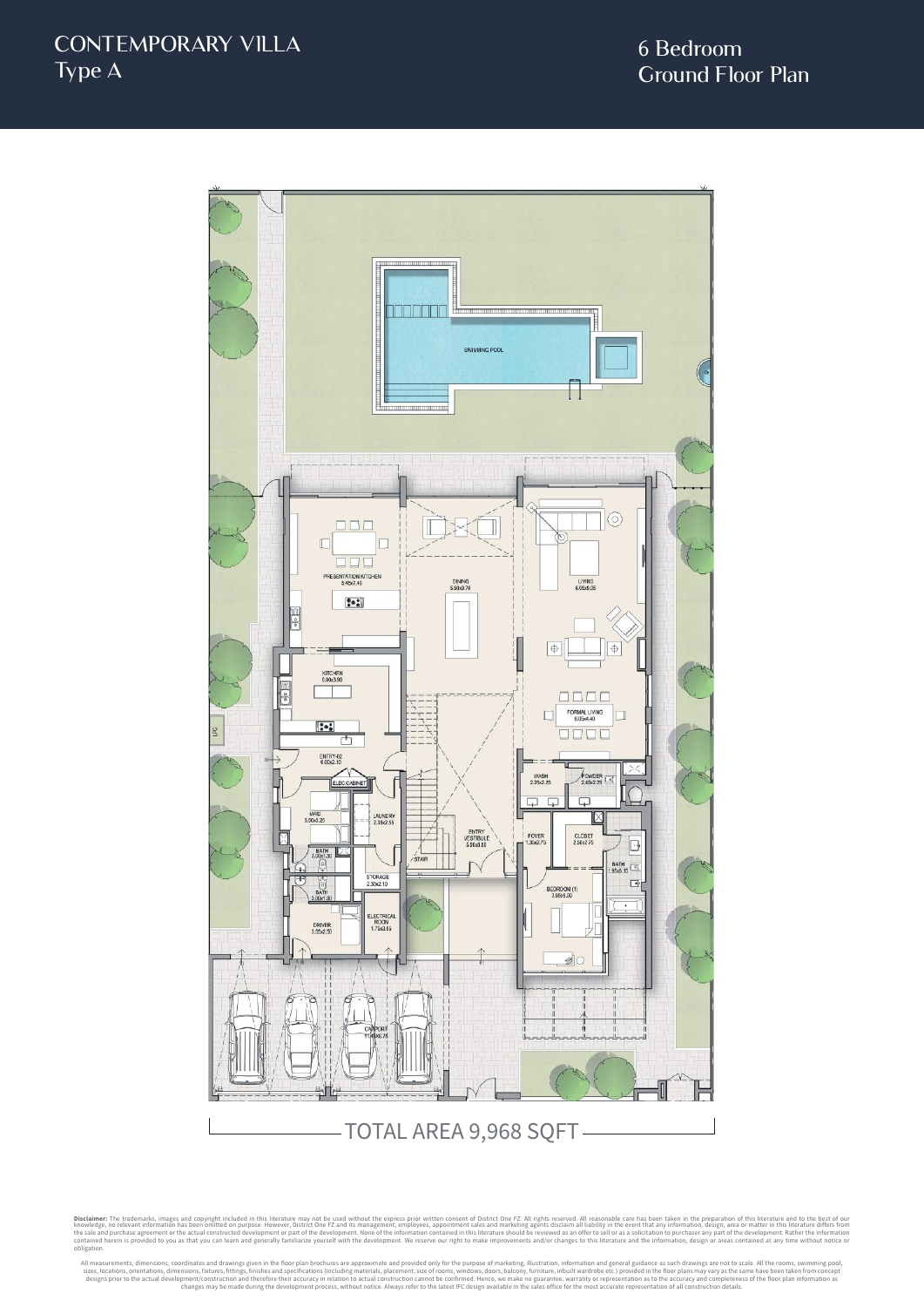

TOTAL AREA 9,968 SQFT

Disclaimer: The trademarks, images and copyright included in this literature may not be used without the express prior written consent of District One FZ. All rights reserved. All reasonable care has been taken in the prep obligation.

All measurements, dimensions, coordinates and drawings given in the floor plan brochures are approximate and provided only for the purpose of marketing, illustration, information and general guidance as such drawings are n